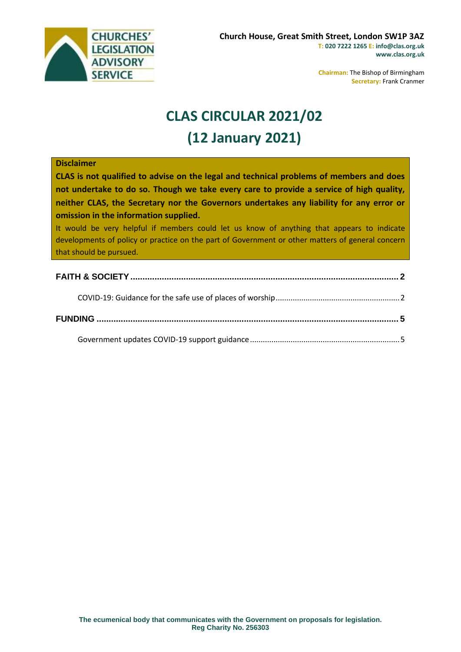

**Chairman:** The Bishop of Birmingham **Secretary:** Frank Cranmer

# **CLAS CIRCULAR 2021/02 (12 January 2021)**

#### **Disclaimer**

**CLAS is not qualified to advise on the legal and technical problems of members and does not undertake to do so. Though we take every care to provide a service of high quality, neither CLAS, the Secretary nor the Governors undertakes any liability for any error or omission in the information supplied.**

It would be very helpful if members could let us know of anything that appears to indicate developments of policy or practice on the part of Government or other matters of general concern that should be pursued.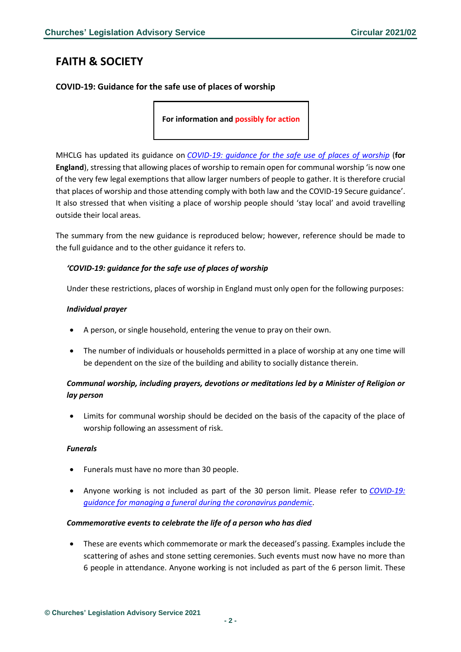# <span id="page-1-0"></span>**FAITH & SOCIETY**

# <span id="page-1-1"></span>**COVID-19: Guidance for the safe use of places of worship**

**For information and possibly for action**

MHCLG has updated its guidance on *[COVID-19: guidance for the safe use of places of worship](https://www.gov.uk/government/publications/covid-19-guidance-for-the-safe-use-of-places-of-worship-during-the-pandemic-from-4-july/covid-19-guidance-for-the-safe-use-of-places-of-worship-from-2-december)* (**for England**), stressing that allowing places of worship to remain open for communal worship 'is now one of the very few legal exemptions that allow larger numbers of people to gather. It is therefore crucial that places of worship and those attending comply with both law and the COVID-19 Secure guidance'. It also stressed that when visiting a place of worship people should 'stay local' and avoid travelling outside their local areas.

The summary from the new guidance is reproduced below; however, reference should be made to the full guidance and to the other guidance it refers to.

## *'COVID-19: guidance for the safe use of places of worship*

Under these restrictions, places of worship in England must only open for the following purposes:

#### *Individual prayer*

- A person, or single household, entering the venue to pray on their own.
- The number of individuals or households permitted in a place of worship at any one time will be dependent on the size of the building and ability to socially distance therein.

# *Communal worship, including prayers, devotions or meditations led by a Minister of Religion or lay person*

• Limits for communal worship should be decided on the basis of the capacity of the place of worship following an assessment of risk.

#### *Funerals*

- Funerals must have no more than 30 people.
- Anyone working is not included as part of the 30 person limit. Please refer to *[COVID-19:](https://www.gov.uk/government/publications/covid-19-guidance-for-managing-a-funeral-during-the-coronavirus-pandemic/covid-19-guidance-for-managing-a-funeral-during-the-coronavirus-pandemic)  [guidance for managing a funeral during the coronavirus pandemic](https://www.gov.uk/government/publications/covid-19-guidance-for-managing-a-funeral-during-the-coronavirus-pandemic/covid-19-guidance-for-managing-a-funeral-during-the-coronavirus-pandemic)*.

#### *Commemorative events to celebrate the life of a person who has died*

• These are events which commemorate or mark the deceased's passing. Examples include the scattering of ashes and stone setting ceremonies. Such events must now have no more than 6 people in attendance. Anyone working is not included as part of the 6 person limit. These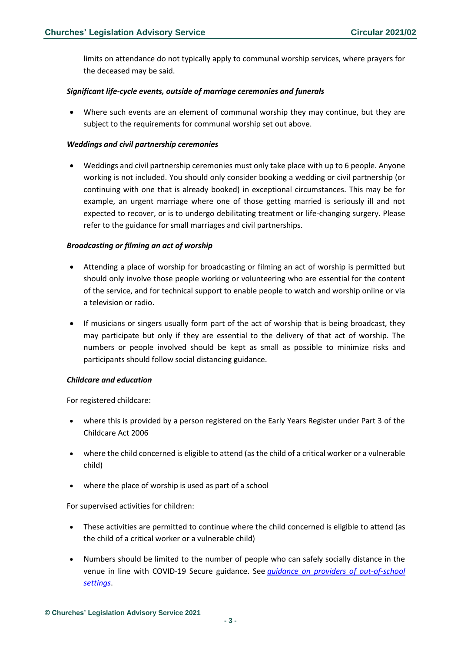limits on attendance do not typically apply to communal worship services, where prayers for the deceased may be said.

#### *Significant life-cycle events, outside of marriage ceremonies and funerals*

• Where such events are an element of communal worship they may continue, but they are subject to the requirements for communal worship set out above.

#### *Weddings and civil partnership ceremonies*

• Weddings and civil partnership ceremonies must only take place with up to 6 people. Anyone working is not included. You should only consider booking a wedding or civil partnership (or continuing with one that is already booked) in exceptional circumstances. This may be for example, an urgent marriage where one of those getting married is seriously ill and not expected to recover, or is to undergo debilitating treatment or life-changing surgery. Please refer to the guidance for small marriages and civil partnerships.

#### *Broadcasting or filming an act of worship*

- Attending a place of worship for broadcasting or filming an act of worship is permitted but should only involve those people working or volunteering who are essential for the content of the service, and for technical support to enable people to watch and worship online or via a television or radio.
- If musicians or singers usually form part of the act of worship that is being broadcast, they may participate but only if they are essential to the delivery of that act of worship. The numbers or people involved should be kept as small as possible to minimize risks and participants should follow social distancing guidance.

#### *Childcare and education*

For registered childcare:

- where this is provided by a person registered on the Early Years Register under Part 3 of the Childcare Act 2006
- where the child concerned is eligible to attend (as the child of a critical worker or a vulnerable child)
- where the place of worship is used as part of a school

For supervised activities for children:

- These activities are permitted to continue where the child concerned is eligible to attend (as the child of a critical worker or a vulnerable child)
- Numbers should be limited to the number of people who can safely socially distance in the venue in line with COVID-19 Secure guidance. See *[guidance on providers of out-of-school](https://www.gov.uk/government/publications/protective-measures-for-holiday-or-after-school-clubs-and-other-out-of-school-settings-for-children-during-the-coronavirus-covid-19-outbreak/protective-measures-for-out-of-school-settings-during-the-coronavirus-covid-19-outbreak)  [settings](https://www.gov.uk/government/publications/protective-measures-for-holiday-or-after-school-clubs-and-other-out-of-school-settings-for-children-during-the-coronavirus-covid-19-outbreak/protective-measures-for-out-of-school-settings-during-the-coronavirus-covid-19-outbreak)*.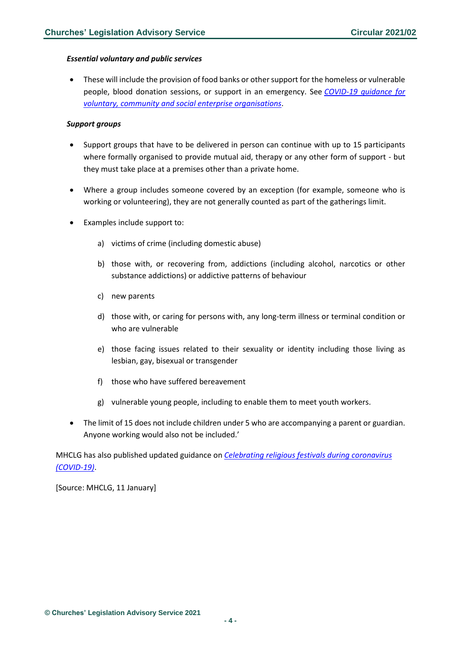#### *Essential voluntary and public services*

• These will include the provision of food banks or other support for the homeless or vulnerable people, blood donation sessions, or support in an emergency. See *[COVID-19 guidance for](https://www.gov.uk/guidance/covid-19-guidance-for-voluntary-community-and-social-enterprise-organisations)  [voluntary, community and social enterprise organisations](https://www.gov.uk/guidance/covid-19-guidance-for-voluntary-community-and-social-enterprise-organisations)*.

#### *Support groups*

- Support groups that have to be delivered in person can continue with up to 15 participants where formally organised to provide mutual aid, therapy or any other form of support - but they must take place at a premises other than a private home.
- Where a group includes someone covered by an exception (for example, someone who is working or volunteering), they are not generally counted as part of the gatherings limit.
- Examples include support to:
	- a) victims of crime (including domestic abuse)
	- b) those with, or recovering from, addictions (including alcohol, narcotics or other substance addictions) or addictive patterns of behaviour
	- c) new parents
	- d) those with, or caring for persons with, any long-term illness or terminal condition or who are vulnerable
	- e) those facing issues related to their sexuality or identity including those living as lesbian, gay, bisexual or transgender
	- f) those who have suffered bereavement
	- g) vulnerable young people, including to enable them to meet youth workers.
- The limit of 15 does not include children under 5 who are accompanying a parent or guardian. Anyone working would also not be included.'

MHCLG has also published updated guidance on *[Celebrating religious festivals during coronavirus](https://www.gov.uk/government/publications/covid-19-guidance-for-the-safe-use-of-places-of-worship-during-the-pandemic-from-4-july/celebrating-religious-festivals-during-coronavirus-covid-19)  [\(COVID-19\)](https://www.gov.uk/government/publications/covid-19-guidance-for-the-safe-use-of-places-of-worship-during-the-pandemic-from-4-july/celebrating-religious-festivals-during-coronavirus-covid-19)*.

[Source: MHCLG, 11 January]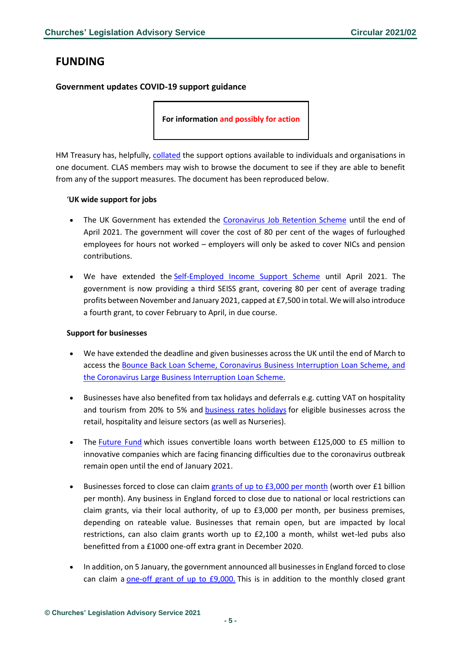# <span id="page-4-0"></span>**FUNDING**

## <span id="page-4-1"></span>**Government updates COVID-19 support guidance**

**For information and possibly for action**

HM Treasury has, helpfully, [collated](https://www.gov.uk/government/publications/summary-of-existing-economic-support/summary-of-existing-economic-support) the support options available to individuals and organisations in one document. CLAS members may wish to browse the document to see if they are able to benefit from any of the support measures. The document has been reproduced below.

#### '**UK wide support for jobs**

- The UK Government has extended the [Coronavirus Job Retention Scheme](https://www.gov.uk/guidance/claim-for-wage-costs-through-the-coronavirus-job-retention-scheme) until the end of April 2021. The government will cover the cost of 80 per cent of the wages of furloughed employees for hours not worked – employers will only be asked to cover NICs and pension contributions.
- We have extended the [Self-Employed Income Support Scheme](https://www.gov.uk/guidance/claim-a-grant-through-the-coronavirus-covid-19-self-employment-income-support-scheme) until April 2021. The government is now providing a third SEISS grant, covering 80 per cent of average trading profits between November and January 2021, capped at £7,500 in total. We will also introduce a fourth grant, to cover February to April, in due course.

## **Support for businesses**

- We have extended the deadline and given businesses across the UK until the end of March to access the [Bounce Back Loan Scheme, Coronavirus Business Interruption Loan Scheme, and](https://www.gov.uk/government/collections/financial-support-for-businesses-during-coronavirus-covid-19)  [the Coronavirus Large Business Interruption Loan Scheme.](https://www.gov.uk/government/collections/financial-support-for-businesses-during-coronavirus-covid-19)
- Businesses have also benefited from tax holidays and deferrals e.g. cutting VAT on hospitality and tourism from 20% to 5% and **[business rates holidays](https://www.gov.uk/guidance/check-if-your-retail-hospitality-or-leisure-business-is-eligible-for-business-rates-relief-due-to-coronavirus-covid-19)** for eligible businesses across the retail, hospitality and leisure sectors (as well as Nurseries).
- The [Future Fund](https://www.gov.uk/guidance/future-fund) which issues convertible loans worth between £125,000 to £5 million to innovative companies which are facing financing difficulties due to the coronavirus outbreak remain open until the end of January 2021.
- Businesses forced to close can claim [grants of up to £3,000 per month](https://www.gov.uk/guidance/check-if-youre-eligible-for-the-coronavirus-local-restrictions-support-grant-for-closed-businesses) (worth over £1 billion per month). Any business in England forced to close due to national or local restrictions can claim grants, via their local authority, of up to £3,000 per month, per business premises, depending on rateable value. Businesses that remain open, but are impacted by local restrictions, can also claim grants worth up to £2,100 a month, whilst wet-led pubs also benefitted from a £1000 one-off extra grant in December 2020.
- In addition, on 5 January, the government announced all businesses in England forced to close can claim a [one-off grant of up to £9,000.](https://www.gov.uk/guidance/check-if-your-business-is-eligible-for-a-coronavirus-grant-due-to-national-restrictions-for-closed-businesses) This is in addition to the monthly closed grant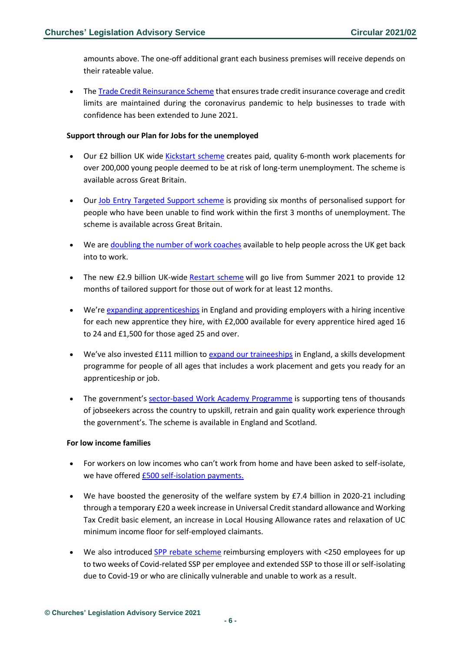amounts above. The one-off additional grant each business premises will receive depends on their rateable value.

• The [Trade Credit Reinsurance Scheme](https://www.gov.uk/government/publications/trade-credit-reinsurance-scheme) that ensures trade credit insurance coverage and credit limits are maintained during the coronavirus pandemic to help businesses to trade with confidence has been extended to June 2021.

#### **Support through our Plan for Jobs for the unemployed**

- Our £2 billion UK wide [Kickstart scheme](https://www.gov.uk/government/collections/kickstart-scheme) creates paid, quality 6-month work placements for over 200,000 young people deemed to be at risk of long-term unemployment. The scheme is available across Great Britain.
- Our [Job Entry Targeted Support scheme](https://www.gov.uk/government/news/nation-s-job-hunt-jets-off) is providing six months of personalised support for people who have been unable to find work within the first 3 months of unemployment. The scheme is available across Great Britain.
- We are [doubling the number of work coaches](https://www.gov.uk/government/news/4-500-new-work-coaches-to-join-the-frontline-to-help-britain-build-back-better) available to help people across the UK get back into to work.
- The new £2.9 billion UK-wide [Restart scheme](https://www.gov.uk/government/publications/restart-scheme) will go live from Summer 2021 to provide 12 months of tailored support for those out of work for at least 12 months.
- We're [expanding apprenticeships](https://www.gov.uk/apply-apprenticeship) in England and providing employers with a hiring incentive for each new apprentice they hire, with £2,000 available for every apprentice hired aged 16 to 24 and £1,500 for those aged 25 and over.
- We've also invested £111 million to [expand our traineeships](https://www.gov.uk/find-traineeship) in England, a skills development programme for people of all ages that includes a work placement and gets you ready for an apprenticeship or job.
- The government's [sector-based Work Academy Programme](https://jobhelp.campaign.gov.uk/sector-based-work-academy-programmes/) is supporting tens of thousands of jobseekers across the country to upskill, retrain and gain quality work experience through the government's. The scheme is available in England and Scotland.

#### **For low income families**

- For workers on low incomes who can't work from home and have been asked to self-isolate, we have offered [£500 self-isolation payments.](https://www.gov.uk/government/publications/test-and-trace-support-payment-scheme-claiming-financial-support/claiming-financial-support-under-the-test-and-trace-support-payment-scheme)
- We have boosted the generosity of the welfare system by £7.4 billion in 2020-21 including through a temporary £20 a week increase in Universal Credit standard allowance and Working Tax Credit basic element, an increase in Local Housing Allowance rates and relaxation of UC minimum income floor for self-employed claimants.
- We also introduced [SPP rebate scheme](https://www.gov.uk/guidance/claim-back-statutory-sick-pay-paid-to-employees-due-to-coronavirus-covid-19) reimbursing employers with <250 employees for up to two weeks of Covid-related SSP per employee and extended SSP to those ill or self-isolating due to Covid-19 or who are clinically vulnerable and unable to work as a result.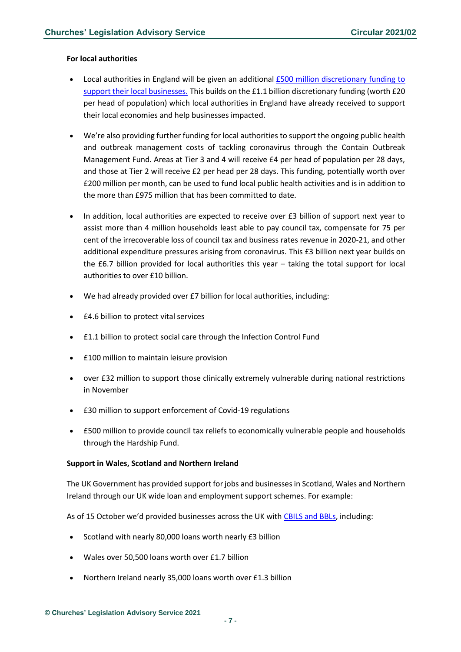#### **For local authorities**

- Local authorities in England will be given an additional [£500 million discretionary funding to](https://www.gov.uk/government/news/46-billion-in-new-lockdown-grants-to-support-businesses-and-protect-jobs)  [support their local businesses.](https://www.gov.uk/government/news/46-billion-in-new-lockdown-grants-to-support-businesses-and-protect-jobs) This builds on the £1.1 billion discretionary funding (worth £20 per head of population) which local authorities in England have already received to support their local economies and help businesses impacted.
- We're also providing further funding for local authorities to support the ongoing public health and outbreak management costs of tackling coronavirus through the Contain Outbreak Management Fund. Areas at Tier 3 and 4 will receive £4 per head of population per 28 days, and those at Tier 2 will receive £2 per head per 28 days. This funding, potentially worth over £200 million per month, can be used to fund local public health activities and is in addition to the more than £975 million that has been committed to date.
- In addition, local authorities are expected to receive over £3 billion of support next year to assist more than 4 million households least able to pay council tax, compensate for 75 per cent of the irrecoverable loss of council tax and business rates revenue in 2020-21, and other additional expenditure pressures arising from coronavirus. This £3 billion next year builds on the £6.7 billion provided for local authorities this year – taking the total support for local authorities to over £10 billion.
- We had already provided over £7 billion for local authorities, including:
- £4.6 billion to protect vital services
- £1.1 billion to protect social care through the Infection Control Fund
- £100 million to maintain leisure provision
- over £32 million to support those clinically extremely vulnerable during national restrictions in November
- £30 million to support enforcement of Covid-19 regulations
- £500 million to provide council tax reliefs to economically vulnerable people and households through the Hardship Fund.

#### **Support in Wales, Scotland and Northern Ireland**

The UK Government has provided support for jobs and businesses in Scotland, Wales and Northern Ireland through our UK wide loan and employment support schemes. For example:

As of 15 October we'd provided businesses across the UK with [CBILS and BBLs,](https://www.british-business-bank.co.uk/regional-analysis-of-coronavirus-loan-schemes-shows-continued-even-distribution-across-the-uk/) including:

- Scotland with nearly 80,000 loans worth nearly £3 billion
- Wales over 50,500 loans worth over £1.7 billion
- Northern Ireland nearly 35,000 loans worth over £1.3 billion